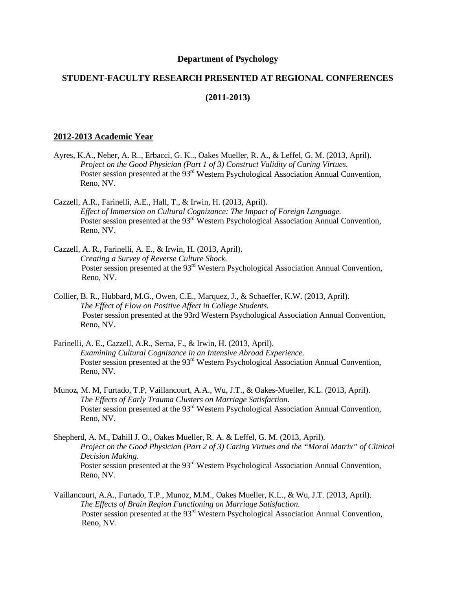### **Department of Psychology**

# **STUDENT-FACULTY RESEARCH PRESENTED AT REGIONAL CONFERENCES**

## **(2011-2013)**

### **2012-2013 Academic Year**

- Ayres, K.A., Neher, A. R.., Erbacci, G. K.., Oakes Mueller, R. A., & Leffel, G. M. (2013, April). *Project on the Good Physician (Part 1 of 3) Construct Validity of Caring Virtues.* Poster session presented at the 93<sup>rd</sup> Western Psychological Association Annual Convention, Reno, NV.
- Cazzell, A.R., Farinelli, A.E., Hall, T., & Irwin, H. (2013, April). *Effect of Immersion on Cultural Cognizance: The Impact of Foreign Language.* Poster session presented at the 93<sup>rd</sup> Western Psychological Association Annual Convention, Reno, NV.
- Cazzell, A. R., Farinelli, A. E., & Irwin, H. (2013, April). *Creating a Survey of Reverse Culture Shock*. Poster session presented at the 93<sup>rd</sup> Western Psychological Association Annual Convention, Reno, NV.
- Collier, B. R., Hubbard, M.G., Owen, C.E., Marquez, J., & Schaeffer, K.W. (2013, April). *The Effect of Flow on Positive Affect in College Students.* Poster session presented at the 93rd Western Psychological Association Annual Convention, Reno, NV.
- Farinelli, A. E., Cazzell, A.R., Serna, F., & Irwin, H. (2013, April). *Examining Cultural Cognizance in an Intensive Abroad Experience.* Poster session presented at the 93<sup>rd</sup> Western Psychological Association Annual Convention, Reno, NV.
- Munoz, M. M, Furtado, T.P, Vaillancourt, A.A., Wu, J.T., & Oakes-Mueller, K.L. (2013, April). *The Effects of Early Trauma Clusters on Marriage Satisfaction*. Poster session presented at the 93<sup>rd</sup> Western Psychological Association Annual Convention, Reno, NV.
- Shepherd, A. M., Dahill J. O., Oakes Mueller, R. A. & Leffel, G. M. (2013, April). *Project on the Good Physician (Part 2 of 3) Caring Virtues and the "Moral Matrix" of Clinical Decision Making*. Poster session presented at the 93<sup>rd</sup> Western Psychological Association Annual Convention, Reno, NV.
- Vaillancourt, A.A., Furtado, T.P., Munoz, M.M., Oakes Mueller, K.L., & Wu, J.T. (2013, April). *The Effects of Brain Region Functioning on Marriage Satisfaction.* Poster session presented at the 93<sup>rd</sup> Western Psychological Association Annual Convention, Reno, NV.